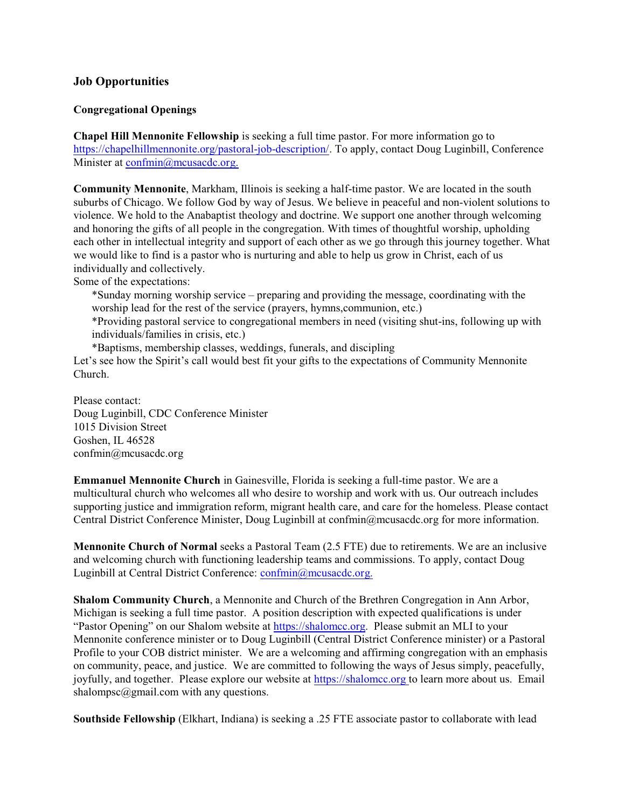## **Job Opportunities**

## **Congregational Openings**

**Chapel Hill Mennonite Fellowship** is seeking a full time pastor. For more information go to <https://chapelhillmennonite.org/pastoral-job-description/>. To apply, contact Doug Luginbill, Conference Minister at [confmin@mcusacdc.org.](mailto:confmin@mcusacdc.org.)

**Community Mennonite**, Markham, Illinois is seeking a half-time pastor. We are located in the south suburbs of Chicago. We follow God by way of Jesus. We believe in peaceful and non-violent solutions to violence. We hold to the Anabaptist theology and doctrine. We support one another through welcoming and honoring the gifts of all people in the congregation. With times of thoughtful worship, upholding each other in intellectual integrity and support of each other as we go through this journey together. What we would like to find is a pastor who is nurturing and able to help us grow in Christ, each of us individually and collectively.

Some of the expectations:

\*Sunday morning worship service – preparing and providing the message, coordinating with the worship lead for the rest of the service (prayers, hymns,communion, etc.)

\*Providing pastoral service to congregational members in need (visiting shut-ins, following up with individuals/families in crisis, etc.)

\*Baptisms, membership classes, weddings, funerals, and discipling

Let's see how the Spirit's call would best fit your gifts to the expectations of Community Mennonite Church.

Please contact: Doug Luginbill, CDC Conference Minister 1015 Division Street Goshen, IL 46528 confmin@mcusacdc.org

**Emmanuel Mennonite Church** in Gainesville, Florida is seeking a full-time pastor. We are a multicultural church who welcomes all who desire to worship and work with us. Our outreach includes supporting justice and immigration reform, migrant health care, and care for the homeless. Please contact Central District Conference Minister, Doug Luginbill at confmin@mcusacdc.org for more information.

**Mennonite Church of Normal** seeks a Pastoral Team (2.5 FTE) due to retirements. We are an inclusive and welcoming church with functioning leadership teams and commissions. To apply, contact Doug Luginbill at Central District Conference: [confmin@mcusacdc.org.](mailto:confmin@mcusacdc.org.)

**Shalom Community Church**, a Mennonite and Church of the Brethren Congregation in Ann Arbor, Michigan is seeking a full time pastor. A position description with expected qualifications is under "Pastor Opening" on our Shalom website at <https://shalomcc.org>. Please submit an MLI to your Mennonite conference minister or to Doug Luginbill (Central District Conference minister) or a Pastoral Profile to your COB district minister. We are a welcoming and affirming congregation with an emphasis on community, peace, and justice. We are committed to following the ways of Jesus simply, peacefully, joyfully, and together. Please explore our website at <https://shalomcc.org> to learn more about us. Email shalompsc@gmail.com with any questions.

**Southside Fellowship** (Elkhart, Indiana) is seeking a .25 FTE associate pastor to collaborate with lead